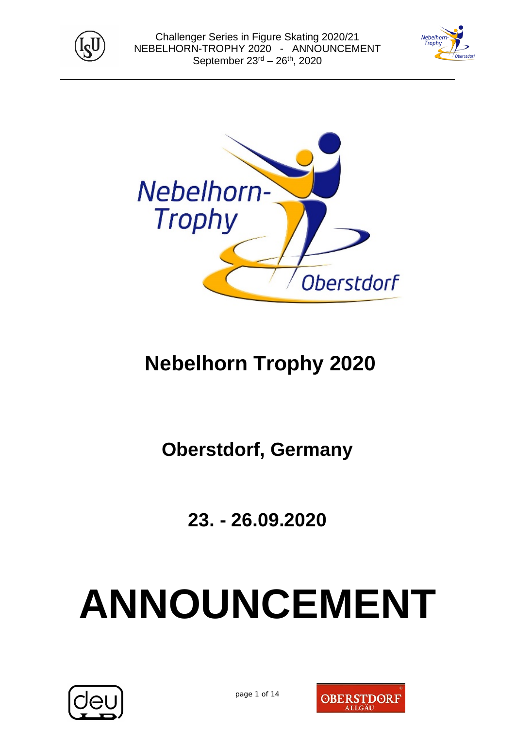





## **Nebelhorn Trophy 2020**

**Oberstdorf, Germany**

**23. - 26.09.2020**

# **ANNOUNCEMENT**



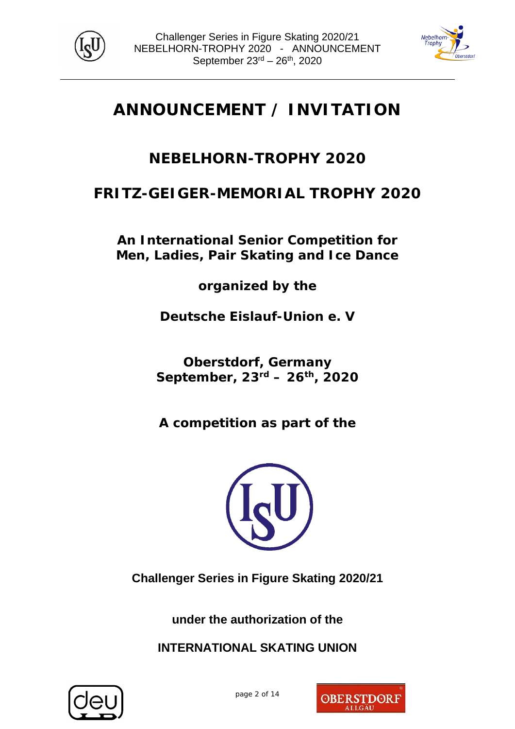



## **ANNOUNCEMENT / INVITATION**

## **NEBELHORN-TROPHY 2020**

## **FRITZ-GEIGER-MEMORIAL TROPHY 2020**

**An International Senior Competition for Men, Ladies, Pair Skating and Ice Dance**

**organized by the**

*Deutsche Eislauf-Union e. V*

**Oberstdorf, Germany September, 23rd – 26th, 2020**

**A competition as part of the** 



**Challenger Series in Figure Skating 2020/21**

**under the authorization of the** 

**INTERNATIONAL SKATING UNION**



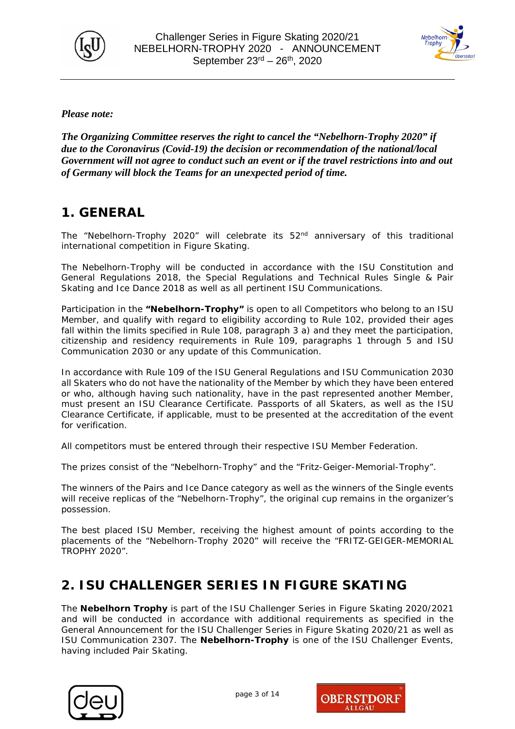



*Please note:*

*The Organizing Committee reserves the right to cancel the "Nebelhorn-Trophy 2020" if due to the Coronavirus (Covid-19) the decision or recommendation of the national/local Government will not agree to conduct such an event or if the travel restrictions into and out of Germany will block the Teams for an unexpected period of time.* 

## **1. GENERAL**

The "Nebelhorn-Trophy 2020" will celebrate its 52<sup>nd</sup> anniversary of this traditional international competition in Figure Skating.

The Nebelhorn-Trophy will be conducted in accordance with the ISU Constitution and General Regulations 2018, the Special Regulations and Technical Rules Single & Pair Skating and Ice Dance 2018 as well as all pertinent ISU Communications.

Participation in the **"Nebelhorn-Trophy"** is open to all Competitors who belong to an ISU Member, and qualify with regard to eligibility according to Rule 102, provided their ages fall within the limits specified in Rule 108, paragraph 3 a) and they meet the participation, citizenship and residency requirements in Rule 109, paragraphs 1 through 5 and ISU Communication 2030 or any update of this Communication.

In accordance with Rule 109 of the ISU General Regulations and ISU Communication 2030 all Skaters who do not have the nationality of the Member by which they have been entered or who, although having such nationality, have in the past represented another Member, must present an ISU Clearance Certificate. Passports of all Skaters, as well as the ISU Clearance Certificate, if applicable, must to be presented at the accreditation of the event for verification.

All competitors must be entered through their respective ISU Member Federation.

The prizes consist of the "Nebelhorn-Trophy" and the "Fritz-Geiger-Memorial-Trophy".

The winners of the Pairs and Ice Dance category as well as the winners of the Single events will receive replicas of the "Nebelhorn-Trophy", the original cup remains in the organizer's possession.

The best placed ISU Member, receiving the highest amount of points according to the placements of the "Nebelhorn-Trophy 2020" will receive the "FRITZ-GEIGER-MEMORIAL TROPHY 2020".

## **2. ISU CHALLENGER SERIES IN FIGURE SKATING**

The **Nebelhorn Trophy** is part of the ISU Challenger Series in Figure Skating 2020/2021 and will be conducted in accordance with additional requirements as specified in the General Announcement for the ISU Challenger Series in Figure Skating 2020/21 as well as ISU Communication 2307. The **Nebelhorn-Trophy** is one of the ISU Challenger Events, having included Pair Skating.



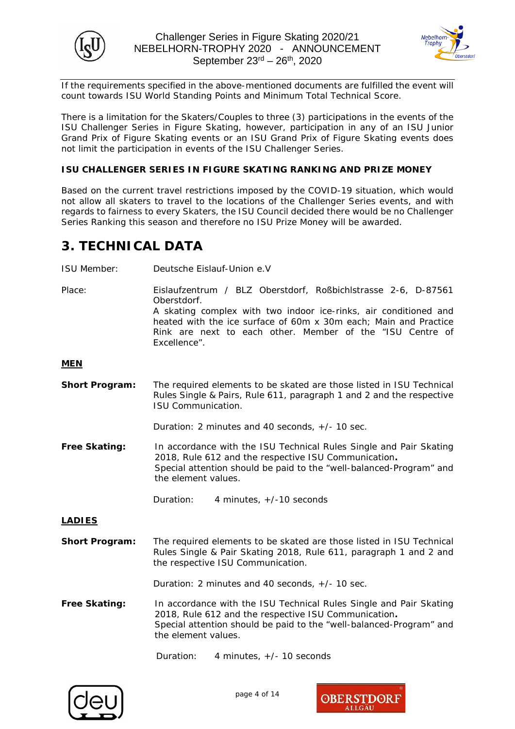



If the requirements specified in the above-mentioned documents are fulfilled the event will count towards ISU World Standing Points and Minimum Total Technical Score.

There is a limitation for the Skaters/Couples to three (3) participations in the events of the ISU Challenger Series in Figure Skating, however, participation in any of an ISU Junior Grand Prix of Figure Skating events or an ISU Grand Prix of Figure Skating events does not limit the participation in events of the ISU Challenger Series.

#### **ISU CHALLENGER SERIES IN FIGURE SKATING RANKING AND PRIZE MONEY**

Based on the current travel restrictions imposed by the COVID-19 situation, which would not allow all skaters to travel to the locations of the Challenger Series events, and with regards to fairness to every Skaters, the ISU Council decided there would be no Challenger Series Ranking this season and therefore no ISU Prize Money will be awarded.

## **3. TECHNICAL DATA**

- ISU Member: Deutsche Eislauf-Union e.V
- Place: Eislaufzentrum / BLZ Oberstdorf, Roßbichlstrasse 2-6, D-87561 Oberstdorf. A skating complex with two indoor ice-rinks, air conditioned and heated with the ice surface of 60m x 30m each; Main and Practice Rink are next to each other. Member of the "ISU Centre of Excellence".

#### **MEN**

**Short Program:** The required elements to be skated are those listed in ISU Technical Rules Single & Pairs, Rule 611, paragraph 1 and 2 and the respective ISU Communication.

Duration: 2 minutes and 40 seconds, +/- 10 sec.

**Free Skating:** In accordance with the ISU Technical Rules Single and Pair Skating 2018, Rule 612 and the respective ISU Communication**.** Special attention should be paid to the "well-balanced-Program" and the element values.

Duration: 4 minutes, +/-10 seconds

#### **LADIES**

**Short Program:** The required elements to be skated are those listed in ISU Technical Rules Single & Pair Skating 2018, Rule 611, paragraph 1 and 2 and the respective ISU Communication.

Duration: 2 minutes and 40 seconds, +/- 10 sec.

**Free Skating:** In accordance with the ISU Technical Rules Single and Pair Skating 2018, Rule 612 and the respective ISU Communication**.** Special attention should be paid to the "well-balanced-Program" and the element values.

Duration: 4 minutes, +/- 10 seconds



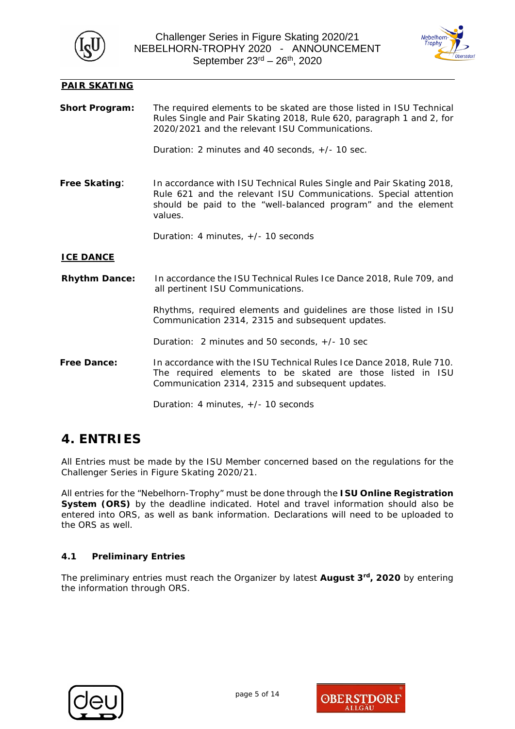

**PAIR SKATING**



| <b>PAIR SKAIING</b>   |                                                                                                                                                                                                                     |
|-----------------------|---------------------------------------------------------------------------------------------------------------------------------------------------------------------------------------------------------------------|
| <b>Short Program:</b> | The required elements to be skated are those listed in ISU Technical<br>Rules Single and Pair Skating 2018, Rule 620, paragraph 1 and 2, for<br>2020/2021 and the relevant ISU Communications.                      |
|                       | Duration: 2 minutes and 40 seconds, +/- 10 sec.                                                                                                                                                                     |
| Free Skating:         | In accordance with ISU Technical Rules Single and Pair Skating 2018,<br>Rule 621 and the relevant ISU Communications. Special attention<br>should be paid to the "well-balanced program" and the element<br>values. |
|                       | Duration: 4 minutes, +/- 10 seconds                                                                                                                                                                                 |
| <u>ICE DANCE</u>      |                                                                                                                                                                                                                     |
| <b>Rhythm Dance:</b>  | In accordance the ISU Technical Rules Ice Dance 2018, Rule 709, and<br>all pertinent ISU Communications.                                                                                                            |
|                       | Rhythms, required elements and guidelines are those listed in ISU<br>Communication 2314, 2315 and subsequent updates.                                                                                               |
|                       | Duration: 2 minutes and 50 seconds, +/- 10 sec                                                                                                                                                                      |
| <b>Free Dance:</b>    | In accordance with the ISU Technical Rules Ice Dance 2018, Rule 710.<br>The required elements to be skated are those listed in ISU<br>Communication 2314, 2315 and subsequent updates.                              |
|                       | Duration: 4 minutes, $+/-$ 10 seconds                                                                                                                                                                               |
|                       |                                                                                                                                                                                                                     |

## **4. ENTRIES**

All Entries must be made by the ISU Member concerned based on the regulations for the Challenger Series in Figure Skating 2020/21.

All entries for the "Nebelhorn-Trophy" must be done through the **ISU Online Registration System (ORS)** by the deadline indicated. Hotel and travel information should also be entered into ORS, as well as bank information. Declarations will need to be uploaded to the ORS as well.

#### **4.1 Preliminary Entries**

The preliminary entries must reach the Organizer by latest **August 3rd, 2020** by entering the information through ORS.



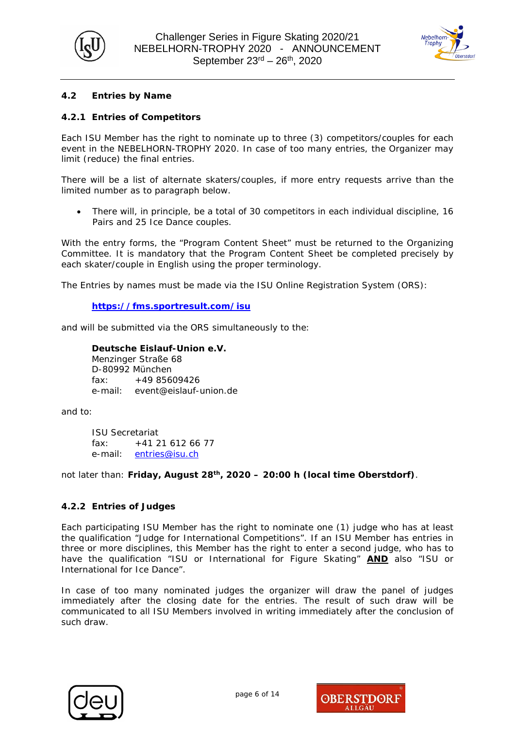



#### **4.2 Entries by Name**

#### **4.2.1 Entries of Competitors**

Each ISU Member has the right to nominate up to three (3) competitors/couples for each event in the NEBELHORN-TROPHY 2020. In case of too many entries, the Organizer may limit (reduce) the final entries.

There will be a list of alternate skaters/couples, if more entry requests arrive than the limited number as to paragraph below.

• There will, in principle, be a total of 30 competitors in each individual discipline, 16 Pairs and 25 Ice Dance couples.

With the entry forms, the "Program Content Sheet" must be returned to the Organizing Committee. It is mandatory that the Program Content Sheet be completed precisely by each skater/couple in English using the proper terminology.

The Entries by names must be made via the ISU Online Registration System (ORS):

**<https://fms.sportresult.com/isu>**

and will be submitted via the ORS simultaneously to the:

**Deutsche Eislauf-Union e.V.** Menzinger Straße 68 D-80992 München  $fax: +4985609426$ e-mail: event@eislauf-union.de

and to:

ISU Secretariat fax: +41 21 612 66 77 e-mail: [entries@isu.ch](mailto:entries@isu.ch)

not later than: **Friday, August 28th, 2020 – 20:00 h (local time Oberstdorf)**.

#### **4.2.2 Entries of Judges**

Each participating ISU Member has the right to nominate one (1) judge who has at least the qualification "Judge for International Competitions". If an ISU Member has entries in three or more disciplines, this Member has the right to enter a second judge, who has to have the qualification "ISU or International for Figure Skating" **AND** also "ISU or International for Ice Dance".

In case of too many nominated judges the organizer will draw the panel of judges immediately after the closing date for the entries. The result of such draw will be communicated to all ISU Members involved in writing immediately after the conclusion of such draw.



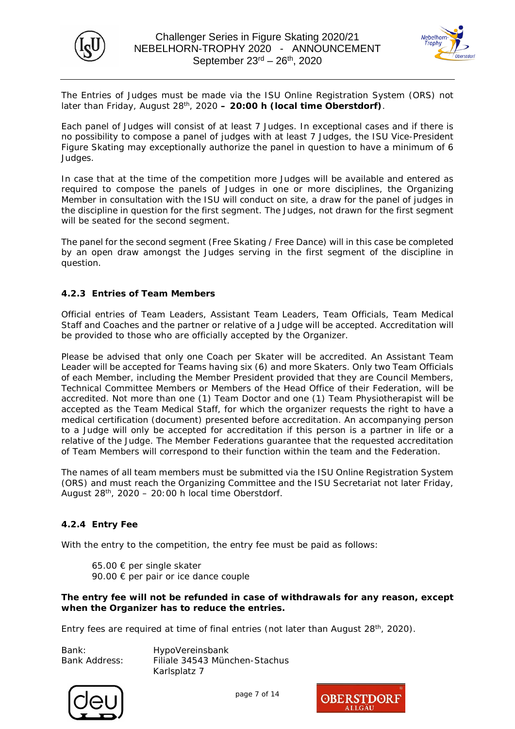



The Entries of Judges must be made via the ISU Online Registration System (ORS) not later than Friday, August 28<sup>th</sup>, 2020 - 20:00 h (local time Oberstdorf).

Each panel of Judges will consist of at least 7 Judges. In exceptional cases and if there is no possibility to compose a panel of judges with at least 7 Judges, the ISU Vice-President Figure Skating may exceptionally authorize the panel in question to have a minimum of 6 Judges.

In case that at the time of the competition more Judges will be available and entered as required to compose the panels of Judges in one or more disciplines, the Organizing Member in consultation with the ISU will conduct on site, a draw for the panel of judges in the discipline in question for the first segment. The Judges, not drawn for the first segment will be seated for the second segment.

The panel for the second segment (Free Skating / Free Dance) will in this case be completed by an open draw amongst the Judges serving in the first segment of the discipline in question.

#### **4.2.3 Entries of Team Members**

Official entries of Team Leaders, Assistant Team Leaders, Team Officials, Team Medical Staff and Coaches and the partner or relative of a Judge will be accepted. Accreditation will be provided to those who are officially accepted by the Organizer.

Please be advised that only one Coach per Skater will be accredited. An Assistant Team Leader will be accepted for Teams having six (6) and more Skaters. Only two Team Officials of each Member, including the Member President provided that they are Council Members, Technical Committee Members or Members of the Head Office of their Federation, will be accredited. Not more than one (1) Team Doctor and one (1) Team Physiotherapist will be accepted as the Team Medical Staff, for which the organizer requests the right to have a medical certification (document) presented before accreditation. An accompanying person to a Judge will only be accepted for accreditation if this person is a partner in life or a relative of the Judge. The Member Federations guarantee that the requested accreditation of Team Members will correspond to their function within the team and the Federation.

The names of all team members must be submitted via the ISU Online Registration System (ORS) and must reach the Organizing Committee and the ISU Secretariat not later Friday, August  $28<sup>th</sup>$ ,  $2020 - 20:00$  h local time Oberstdorf.

#### **4.2.4 Entry Fee**

With the entry to the competition, the entry fee must be paid as follows:

65.00 € per single skater 90.00 € per pair or ice dance couple

#### **The entry fee will not be refunded in case of withdrawals for any reason, except when the Organizer has to reduce the entries.**

Entry fees are required at time of final entries (not later than August 28<sup>th</sup>, 2020).

Bank: HypoVereinsbank Bank Address: Filiale 34543 München-Stachus Karlsplatz 7



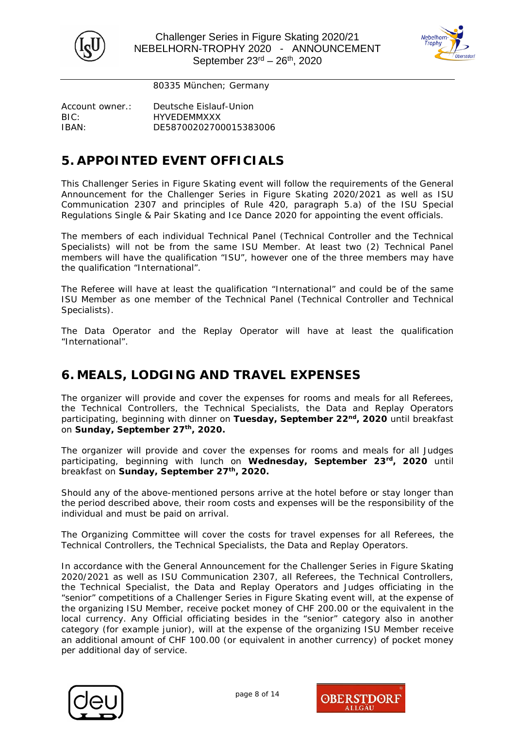



80335 München; Germany

Account owner.: Deutsche Eislauf-Union BIC: HYVEDEMMXXX DE58700202700015383006

## **5. APPOINTED EVENT OFFICIALS**

This Challenger Series in Figure Skating event will follow the requirements of the General Announcement for the Challenger Series in Figure Skating 2020/2021 as well as ISU Communication 2307 and principles of Rule 420, paragraph 5.a) of the ISU Special Regulations Single & Pair Skating and Ice Dance 2020 for appointing the event officials.

The members of each individual Technical Panel (Technical Controller and the Technical Specialists) will not be from the same ISU Member. At least two (2) Technical Panel members will have the qualification "ISU", however one of the three members may have the qualification "International".

The Referee will have at least the qualification "International" and could be of the same ISU Member as one member of the Technical Panel (Technical Controller and Technical Specialists).

The Data Operator and the Replay Operator will have at least the qualification "International".

## **6. MEALS, LODGING AND TRAVEL EXPENSES**

The organizer will provide and cover the expenses for rooms and meals for all Referees, the Technical Controllers, the Technical Specialists, the Data and Replay Operators participating, beginning with dinner on **Tuesday, September 22nd, 2020** until breakfast on **Sunday, September 27th, 2020.**

The organizer will provide and cover the expenses for rooms and meals for all Judges participating, beginning with lunch on **Wednesday, September 23rd, 2020** until breakfast on **Sunday, September 27th, 2020.**

Should any of the above-mentioned persons arrive at the hotel before or stay longer than the period described above, their room costs and expenses will be the responsibility of the individual and must be paid on arrival.

The Organizing Committee will cover the costs for travel expenses for all Referees, the Technical Controllers, the Technical Specialists, the Data and Replay Operators.

In accordance with the General Announcement for the Challenger Series in Figure Skating 2020/2021 as well as ISU Communication 2307, all Referees, the Technical Controllers, the Technical Specialist, the Data and Replay Operators and Judges officiating in the "senior" competitions of a Challenger Series in Figure Skating event will, at the expense of the organizing ISU Member, receive pocket money of CHF 200.00 or the equivalent in the local currency. Any Official officiating besides in the "senior" category also in another category (for example junior), will at the expense of the organizing ISU Member receive an additional amount of CHF 100.00 (or equivalent in another currency) of pocket money per additional day of service.



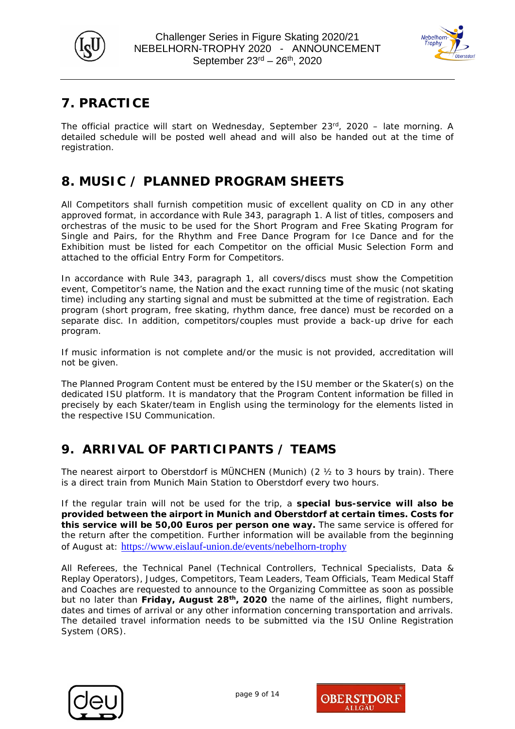



## **7. PRACTICE**

The official practice will start on Wednesday, September 23rd, 2020 - late morning. A detailed schedule will be posted well ahead and will also be handed out at the time of registration.

## **8. MUSIC / PLANNED PROGRAM SHEETS**

All Competitors shall furnish competition music of excellent quality on CD in any other approved format, in accordance with Rule 343, paragraph 1. A list of titles, composers and orchestras of the music to be used for the Short Program and Free Skating Program for Single and Pairs, for the Rhythm and Free Dance Program for Ice Dance and for the Exhibition must be listed for each Competitor on the official Music Selection Form and attached to the official Entry Form for Competitors.

In accordance with Rule 343, paragraph 1, all covers/discs must show the Competition event, Competitor's name, the Nation and the exact running time of the music (not skating time) including any starting signal and must be submitted at the time of registration. Each program (short program, free skating, rhythm dance, free dance) must be recorded on a separate disc. In addition, competitors/couples must provide a back-up drive for each program.

If music information is not complete and/or the music is not provided, accreditation will not be given.

The Planned Program Content must be entered by the ISU member or the Skater(s) on the dedicated ISU platform. It is mandatory that the Program Content information be filled in precisely by each Skater/team in English using the terminology for the elements listed in the respective ISU Communication.

## **9. ARRIVAL OF PARTICIPANTS / TEAMS**

The nearest airport to Oberstdorf is MÜNCHEN (Munich) (2 ½ to 3 hours by train). There is a direct train from Munich Main Station to Oberstdorf every two hours.

If the regular train will not be used for the trip, a **special bus-service will also be provided between the airport in Munich and Oberstdorf at certain times. Costs for this service will be 50,00 Euros per person one way.** The same service is offered for the return after the competition. Further information will be available from the beginning of August at: <https://www.eislauf-union.de/events/nebelhorn-trophy>

All Referees, the Technical Panel (Technical Controllers, Technical Specialists, Data & Replay Operators), Judges, Competitors, Team Leaders, Team Officials, Team Medical Staff and Coaches are requested to announce to the Organizing Committee as soon as possible but no later than Friday, August 28<sup>th</sup>, 2020 the name of the airlines, flight numbers, dates and times of arrival or any other information concerning transportation and arrivals. The detailed travel information needs to be submitted via the ISU Online Registration System (ORS).



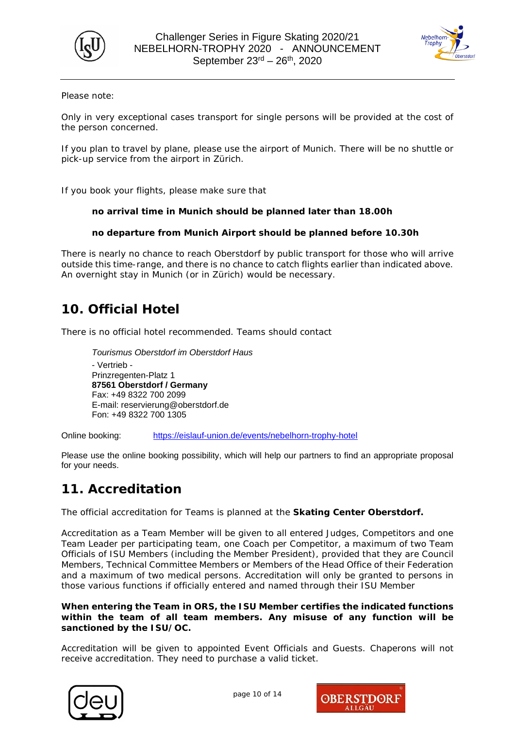



Please note:

Only in very exceptional cases transport for single persons will be provided at the cost of the person concerned.

If you plan to travel by plane, please use the airport of Munich. There will be no shuttle or pick-up service from the airport in Zürich.

If you book your flights, please make sure that

#### **no arrival time in Munich should be planned later than 18.00h**

#### **no departure from Munich Airport should be planned before 10.30h**

There is nearly no chance to reach Oberstdorf by public transport for those who will arrive outside this time-range, and there is no chance to catch flights earlier than indicated above. An overnight stay in Munich (or in Zürich) would be necessary.

## **10. Official Hotel**

There is no official hotel recommended. Teams should contact

*Tourismus Oberstdorf im Oberstdorf Haus* - Vertrieb - Prinzregenten-Platz 1 **87561 Oberstdorf / Germany**  Fax: +49 8322 700 2099 E-mail: reservierung@oberstdorf.de Fon: +49 8322 700 1305

Online booking: <https://eislauf-union.de/events/nebelhorn-trophy-hotel>

Please use the online booking possibility, which will help our partners to find an appropriate proposal for your needs.

## **11. Accreditation**

The official accreditation for Teams is planned at the **Skating Center Oberstdorf.** 

Accreditation as a Team Member will be given to all entered Judges, Competitors and one Team Leader per participating team, one Coach per Competitor, a maximum of two Team Officials of ISU Members (including the Member President), provided that they are Council Members, Technical Committee Members or Members of the Head Office of their Federation and a maximum of two medical persons. Accreditation will only be granted to persons in those various functions if officially entered and named through their ISU Member

#### **When entering the Team in ORS, the ISU Member certifies the indicated functions within the team of all team members. Any misuse of any function will be sanctioned by the ISU/OC.**

Accreditation will be given to appointed Event Officials and Guests. Chaperons will not receive accreditation. They need to purchase a valid ticket.

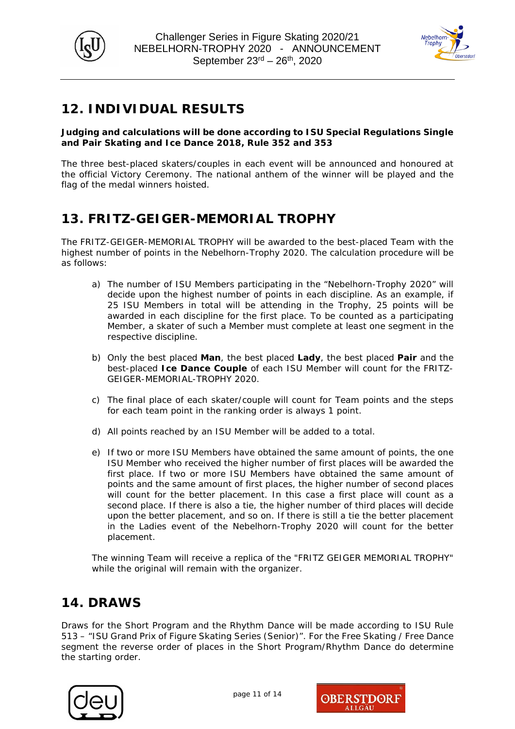



## **12. INDIVIDUAL RESULTS**

#### *Judging and calculations will be done according to ISU Special Regulations Single and Pair Skating and Ice Dance 2018, Rule 352 and 353*

The three best-placed skaters/couples in each event will be announced and honoured at the official Victory Ceremony. The national anthem of the winner will be played and the flag of the medal winners hoisted.

## **13. FRITZ-GEIGER-MEMORIAL TROPHY**

The FRITZ-GEIGER-MEMORIAL TROPHY will be awarded to the best-placed Team with the highest number of points in the Nebelhorn-Trophy 2020. The calculation procedure will be as follows:

- a) The number of ISU Members participating in the "Nebelhorn-Trophy 2020" will decide upon the highest number of points in each discipline. As an example, if 25 ISU Members in total will be attending in the Trophy, 25 points will be awarded in each discipline for the first place. To be counted as a participating Member, a skater of such a Member must complete at least one segment in the respective discipline.
- b) Only the best placed *Man*, the best placed *Lady*, the best placed *Pair* and the best-placed *Ice Dance Couple* of each ISU Member will count for the FRITZ-GEIGER-MEMORIAL-TROPHY 2020.
- c) The final place of each skater/couple will count for Team points and the steps for each team point in the ranking order is always 1 point.
- d) All points reached by an ISU Member will be added to a total.
- e) If two or more ISU Members have obtained the same amount of points, the one ISU Member who received the higher number of first places will be awarded the first place. If two or more ISU Members have obtained the same amount of points and the same amount of first places, the higher number of second places will count for the better placement. In this case a first place will count as a second place. If there is also a tie, the higher number of third places will decide upon the better placement, and so on. If there is still a tie the better placement in the Ladies event of the Nebelhorn-Trophy 2020 will count for the better placement.

The winning Team will receive a replica of the "FRITZ GEIGER MEMORIAL TROPHY" while the original will remain with the organizer.

## **14. DRAWS**

Draws for the Short Program and the Rhythm Dance will be made according to ISU Rule 513 – "ISU Grand Prix of Figure Skating Series (Senior)". For the Free Skating / Free Dance segment the reverse order of places in the Short Program/Rhythm Dance do determine the starting order.



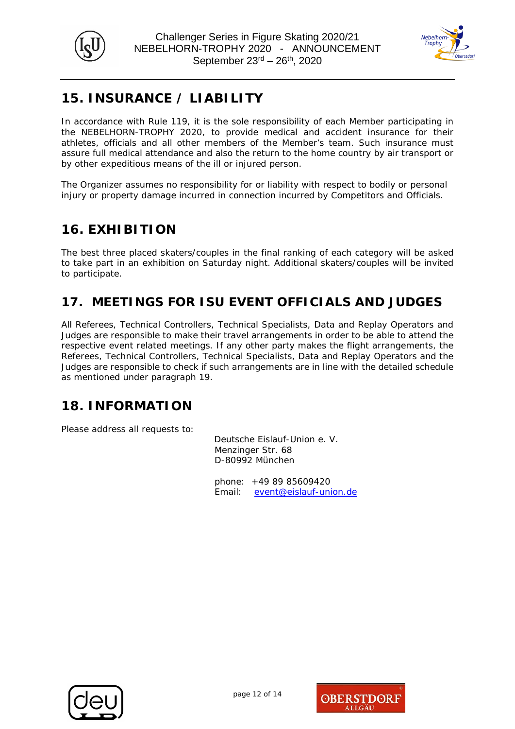



## **15. INSURANCE / LIABILITY**

In accordance with Rule 119, it is the sole responsibility of each Member participating in the NEBELHORN-TROPHY 2020, to provide medical and accident insurance for their athletes, officials and all other members of the Member's team. Such insurance must assure full medical attendance and also the return to the home country by air transport or by other expeditious means of the ill or injured person.

The Organizer assumes no responsibility for or liability with respect to bodily or personal injury or property damage incurred in connection incurred by Competitors and Officials.

## **16. EXHIBITION**

The best three placed skaters/couples in the final ranking of each category will be asked to take part in an exhibition on Saturday night. Additional skaters/couples will be invited to participate.

## **17. MEETINGS FOR ISU EVENT OFFICIALS AND JUDGES**

All Referees, Technical Controllers, Technical Specialists, Data and Replay Operators and Judges are responsible to make their travel arrangements in order to be able to attend the respective event related meetings. If any other party makes the flight arrangements, the Referees, Technical Controllers, Technical Specialists, Data and Replay Operators and the Judges are responsible to check if such arrangements are in line with the detailed schedule as mentioned under paragraph 19.

## **18. INFORMATION**

Please address all requests to:

Deutsche Eislauf-Union e. V. Menzinger Str. 68 D-80992 München

phone: +49 89 85609420 Email: [event@eislauf-union.de](mailto:event@eislauf-union.de)



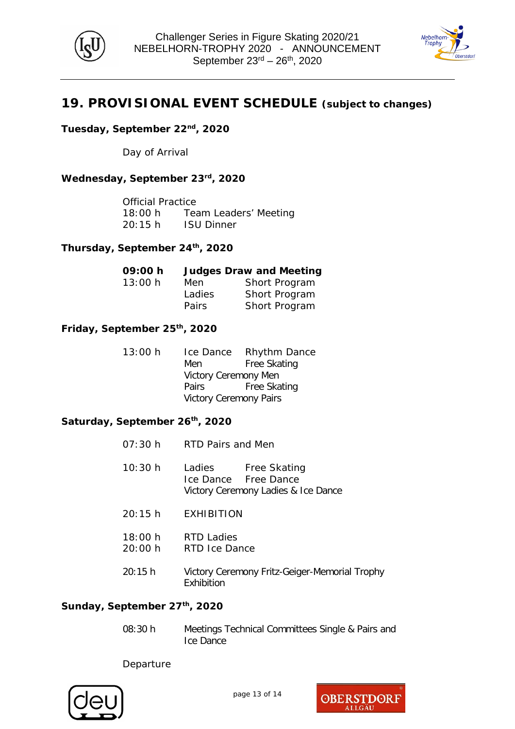



## **19. PROVISIONAL EVENT SCHEDULE (subject to changes)**

#### **Tuesday, September 22nd, 2020**

Day of Arrival

#### **Wednesday, September 23rd, 2020**

Official Practice 18:00 h Team Leaders' Meeting 20:15 h ISU Dinner

#### **Thursday, September 24th, 2020**

| 09:00 h |        | <b>Judges Draw and Meeting</b> |
|---------|--------|--------------------------------|
| 13:00 h | Men    | Short Program                  |
|         | Ladies | Short Program                  |
|         | Pairs  | Short Program                  |

#### **Friday, September 25th, 2020**

| 13:00 h | Ice Dance                     | <b>Rhythm Dance</b> |  |
|---------|-------------------------------|---------------------|--|
|         | Men                           | <b>Free Skating</b> |  |
|         | Victory Ceremony Men          |                     |  |
|         | Pairs                         | Free Skating        |  |
|         | <b>Victory Ceremony Pairs</b> |                     |  |

#### Saturday, September 26<sup>th</sup>, 2020

- 07:30 h RTD Pairs and Men
- 10:30 h Ladies Free Skating Ice Dance Free Dance Victory Ceremony Ladies & Ice Dance
- 20:15 h EXHIBITION
- 18:00 h RTD Ladies
- 20:00 h RTD Ice Dance
- 20:15 h Victory Ceremony Fritz-Geiger-Memorial Trophy Exhibition

#### Sunday, September 27<sup>th</sup>, 2020

08:30 h Meetings Technical Committees Single & Pairs and Ice Dance

Departure